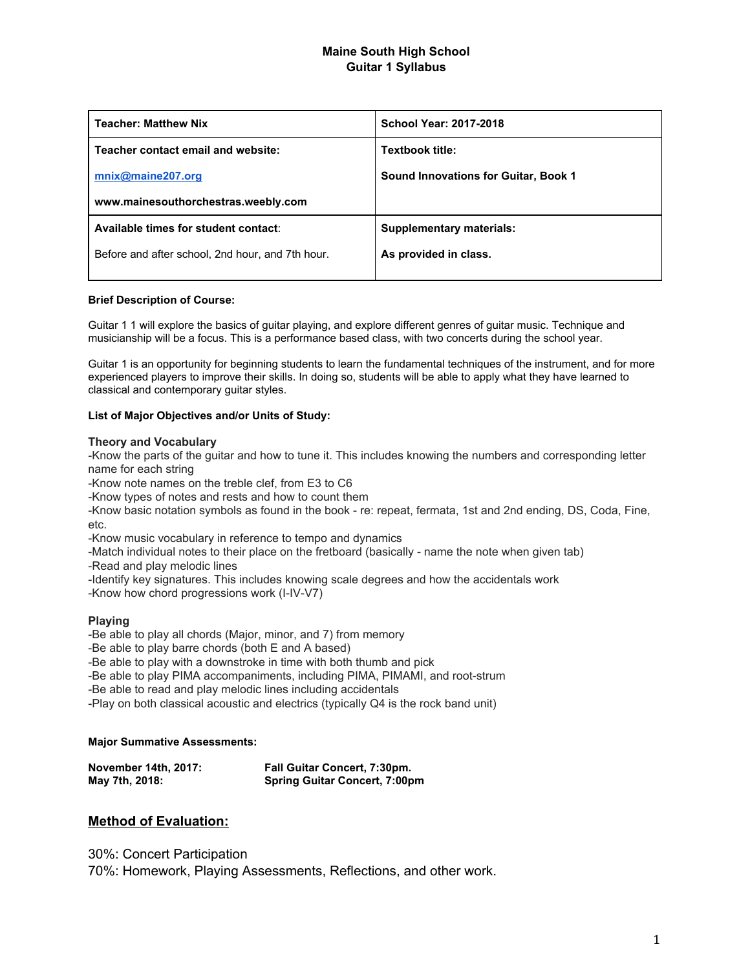## **Maine South High School Guitar 1 Syllabus**

| <b>Teacher: Matthew Nix</b>                      | <b>School Year: 2017-2018</b>        |
|--------------------------------------------------|--------------------------------------|
| Teacher contact email and website:               | Textbook title:                      |
| mnix@maine207.org                                | Sound Innovations for Guitar, Book 1 |
| www.mainesouthorchestras.weebly.com              |                                      |
| Available times for student contact:             | <b>Supplementary materials:</b>      |
| Before and after school, 2nd hour, and 7th hour. | As provided in class.                |
|                                                  |                                      |

#### **Brief Description of Course:**

Guitar 1 1 will explore the basics of guitar playing, and explore different genres of guitar music. Technique and musicianship will be a focus. This is a performance based class, with two concerts during the school year.

Guitar 1 is an opportunity for beginning students to learn the fundamental techniques of the instrument, and for more experienced players to improve their skills. In doing so, students will be able to apply what they have learned to classical and contemporary guitar styles.

#### **List of Major Objectives and/or Units of Study:**

#### **Theory and Vocabulary**

-Know the parts of the guitar and how to tune it. This includes knowing the numbers and corresponding letter name for each string

-Know note names on the treble clef, from E3 to C6

-Know types of notes and rests and how to count them

-Know basic notation symbols as found in the book - re: repeat, fermata, 1st and 2nd ending, DS, Coda, Fine, etc.

-Know music vocabulary in reference to tempo and dynamics

-Match individual notes to their place on the fretboard (basically - name the note when given tab)

-Read and play melodic lines

-Identify key signatures. This includes knowing scale degrees and how the accidentals work

-Know how chord progressions work (I-IV-V7)

### **Playing**

-Be able to play all chords (Major, minor, and 7) from memory

-Be able to play barre chords (both E and A based)

-Be able to play with a downstroke in time with both thumb and pick

-Be able to play PIMA accompaniments, including PIMA, PIMAMI, and root-strum

-Be able to read and play melodic lines including accidentals

-Play on both classical acoustic and electrics (typically Q4 is the rock band unit)

#### **Major Summative Assessments:**

| November 14th, 2017: | <b>Fall Guitar Concert, 7:30pm.</b>  |
|----------------------|--------------------------------------|
| May 7th, 2018:       | <b>Spring Guitar Concert, 7:00pm</b> |

## **Method of Evaluation:**

30%: Concert Participation 70%: Homework, Playing Assessments, Reflections, and other work.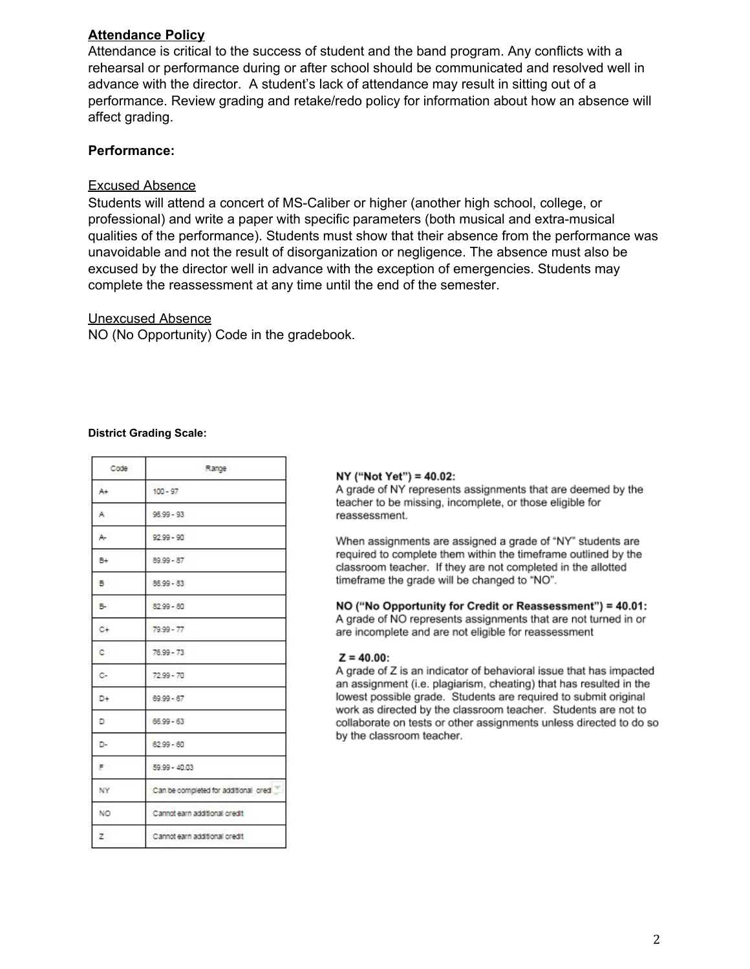## **Attendance Policy**

Attendance is critical to the success of student and the band program. Any conflicts with a rehearsal or performance during or after school should be communicated and resolved well in advance with the director. A student's lack of attendance may result in sitting out of a performance. Review grading and retake/redo policy for information about how an absence will affect grading.

# **Performance:**

## Excused Absence

Students will attend a concert of MS-Caliber or higher (another high school, college, or professional) and write a paper with specific parameters (both musical and extra-musical qualities of the performance). Students must show that their absence from the performance was unavoidable and not the result of disorganization or negligence. The absence must also be excused by the director well in advance with the exception of emergencies. Students may complete the reassessment at any time until the end of the semester.

## Unexcused Absence

NO (No Opportunity) Code in the gradebook.

### **District Grading Scale:**

| Code  | Range                                |  |
|-------|--------------------------------------|--|
| A+    | $100 - 97$                           |  |
| A     | $96.99 - 93$                         |  |
| A-    | $92.99 - 90$                         |  |
| B+    | $89.99 - 87$                         |  |
| B.    | $86.99 - 83$                         |  |
| B-    | $82.99 - 80$                         |  |
| $C +$ | $79.99 - 77$                         |  |
| c.    | $76.99 - 73$                         |  |
| c.    | $72.99 - 70$                         |  |
| D+    | 69.99 - 67                           |  |
| D     | $66.99 - 63$                         |  |
| D-    | $62.99 - 60$                         |  |
| F     | 59.99 - 40.03                        |  |
| NY    | Can be completed for additional cred |  |
| NO.   | Cannot earn additional credit        |  |
| z     | Cannot earn additional credit        |  |

### NY ("Not Yet") = 40.02:

A grade of NY represents assignments that are deemed by the teacher to be missing, incomplete, or those eligible for reassessment.

When assignments are assigned a grade of "NY" students are required to complete them within the timeframe outlined by the classroom teacher. If they are not completed in the allotted timeframe the grade will be changed to "NO".

NO ("No Opportunity for Credit or Reassessment") = 40.01: A grade of NO represents assignments that are not turned in or are incomplete and are not eligible for reassessment

### $Z = 40.00$ :

A grade of Z is an indicator of behavioral issue that has impacted an assignment (i.e. plagiarism, cheating) that has resulted in the lowest possible grade. Students are required to submit original work as directed by the classroom teacher. Students are not to collaborate on tests or other assignments unless directed to do so by the classroom teacher.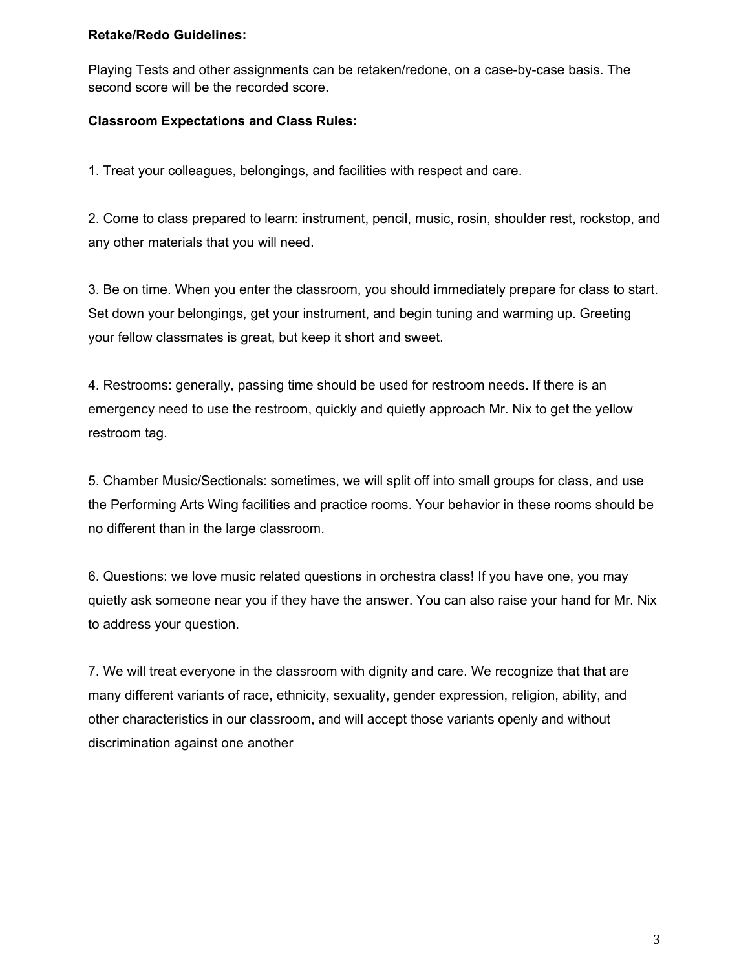## **Retake/Redo Guidelines:**

Playing Tests and other assignments can be retaken/redone, on a case-by-case basis. The second score will be the recorded score.

# **Classroom Expectations and Class Rules:**

1. Treat your colleagues, belongings, and facilities with respect and care.

2. Come to class prepared to learn: instrument, pencil, music, rosin, shoulder rest, rockstop, and any other materials that you will need.

3. Be on time. When you enter the classroom, you should immediately prepare for class to start. Set down your belongings, get your instrument, and begin tuning and warming up. Greeting your fellow classmates is great, but keep it short and sweet.

4. Restrooms: generally, passing time should be used for restroom needs. If there is an emergency need to use the restroom, quickly and quietly approach Mr. Nix to get the yellow restroom tag.

5. Chamber Music/Sectionals: sometimes, we will split off into small groups for class, and use the Performing Arts Wing facilities and practice rooms. Your behavior in these rooms should be no different than in the large classroom.

6. Questions: we love music related questions in orchestra class! If you have one, you may quietly ask someone near you if they have the answer. You can also raise your hand for Mr. Nix to address your question.

7. We will treat everyone in the classroom with dignity and care. We recognize that that are many different variants of race, ethnicity, sexuality, gender expression, religion, ability, and other characteristics in our classroom, and will accept those variants openly and without discrimination against one another